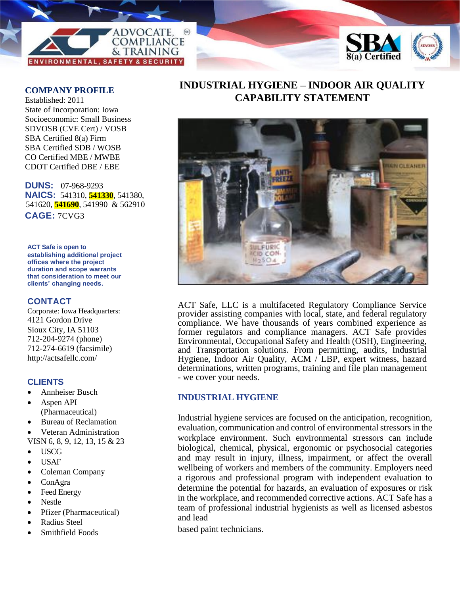



#### **COMPANY PROFILE**

Established: 2011 State of Incorporation: Iowa Socioeconomic: Small Business SDVOSB (CVE Cert) / VOSB SBA Certified 8(a) Firm SBA Certified SDB / WOSB CO Certified MBE / MWBE CDOT Certified DBE / EBE

**DUNS:** 07-968-9293 **NAICS:** 541310, **541330**, 541380, 541620, **541690**, 541990 & 562910 **CAGE:** 7CVG3

**ACT Safe is open to establishing additional project offices where the project duration and scope warrants that consideration to meet our clients' changing needs.**

## **CONTACT**

Corporate: Iowa Headquarters: 4121 Gordon Drive Sioux City, IA 51103 712-204-9274 (phone) 712-274-6619 (facsimile) http://actsafellc.com/

## **CLIENTS**

- Annheiser Busch
- Aspen API (Pharmaceutical)
- Bureau of Reclamation
- Veteran Administration VISN 6, 8, 9, 12, 13, 15 & 23
- USCG
- USAF
- Coleman Company
- ConAgra
- Feed Energy
- Nestle
- Pfizer (Pharmaceutical)
- Radius Steel
- Smithfield Foods

# **INDUSTRIAL HYGIENE – INDOOR AIR QUALITY CAPABILITY STATEMENT**



ACT Safe, LLC is a multifaceted Regulatory Compliance Service provider assisting companies with local, state, and federal regulatory compliance. We have thousands of years combined experience as former regulators and compliance managers. ACT Safe provides Environmental, Occupational Safety and Health (OSH), Engineering, and Transportation solutions. From permitting, audits, Industrial Hygiene, Indoor Air Quality, ACM / LBP, expert witness, hazard determinations, written programs, training and file plan management - we cover your needs.

# **INDUSTRIAL HYGIENE**

Industrial hygiene services are focused on the anticipation, recognition, evaluation, communication and control of environmental stressors in the workplace environment. Such environmental stressors can include biological, chemical, physical, ergonomic or psychosocial categories and may result in injury, illness, impairment, or affect the overall wellbeing of workers and members of the community. Employers need a rigorous and professional program with independent evaluation to determine the potential for hazards, an evaluation of exposures or risk in the workplace, and recommended corrective actions. ACT Safe has a team of professional industrial hygienists as well as licensed asbestos and lead

based paint technicians.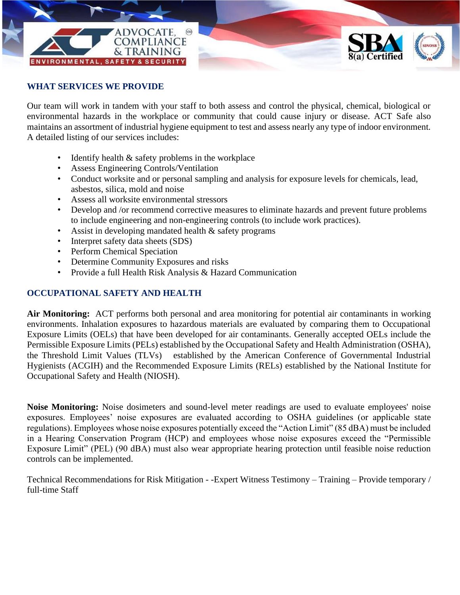

## **WHAT SERVICES WE PROVIDE**

Our team will work in tandem with your staff to both assess and control the physical, chemical, biological or environmental hazards in the workplace or community that could cause injury or disease. ACT Safe also maintains an assortment of industrial hygiene equipment to test and assess nearly any type of indoor environment*.*  A detailed listing of our services includes:

- Identify health  $\&$  safety problems in the workplace
- Assess Engineering Controls/Ventilation
- Conduct worksite and or personal sampling and analysis for exposure levels for chemicals, lead, asbestos, silica, mold and noise
- Assess all worksite environmental stressors
- Develop and /or recommend corrective measures to eliminate hazards and prevent future problems to include engineering and non-engineering controls (to include work practices).
- Assist in developing mandated health  $\&$  safety programs
- Interpret safety data sheets (SDS)
- Perform Chemical Speciation
- Determine Community Exposures and risks
- Provide a full Health Risk Analysis & Hazard Communication

## **OCCUPATIONAL SAFETY AND HEALTH**

**Air Monitoring:** ACT performs both personal and area monitoring for potential air contaminants in working environments. Inhalation exposures to hazardous materials are evaluated by comparing them to Occupational Exposure Limits (OELs) that have been developed for air contaminants. Generally accepted OELs include the Permissible Exposure Limits (PELs) established by the Occupational Safety and Health Administration (OSHA), the Threshold Limit Values (TLVs) established by the American Conference of Governmental Industrial Hygienists (ACGIH) and the Recommended Exposure Limits (RELs) established by the National Institute for Occupational Safety and Health (NIOSH).

**Noise Monitoring:** Noise dosimeters and sound-level meter readings are used to evaluate employees' noise exposures. Employees' noise exposures are evaluated according to OSHA guidelines (or applicable state regulations). Employees whose noise exposures potentially exceed the "Action Limit" (85 dBA) must be included in a Hearing Conservation Program (HCP) and employees whose noise exposures exceed the "Permissible Exposure Limit" (PEL) (90 dBA) must also wear appropriate hearing protection until feasible noise reduction controls can be implemented.

Technical Recommendations for Risk Mitigation - -Expert Witness Testimony – Training – Provide temporary / full-time Staff